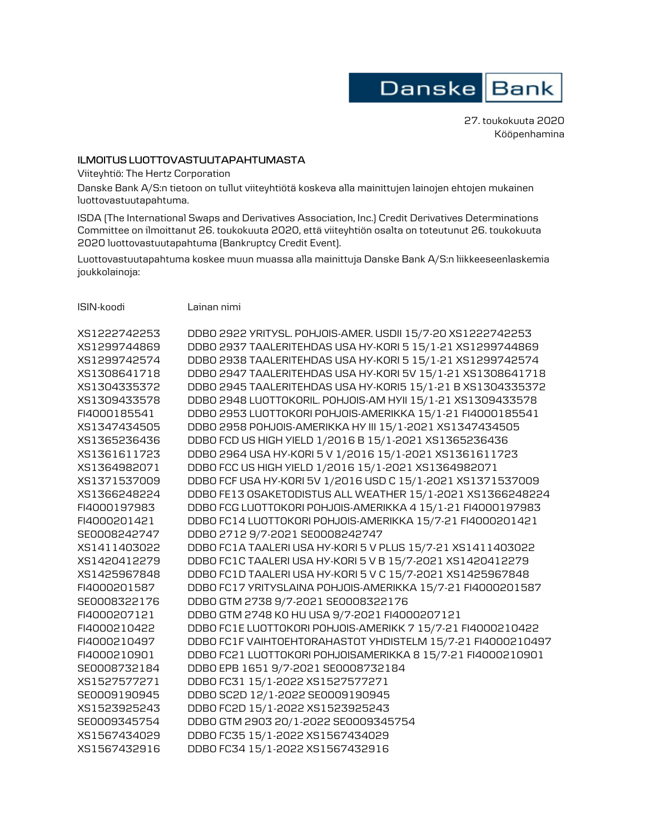

27. toukokuuta 2020 Kööpenhamina

## **ILMOITUS LUOTTOVASTUUTAPAHTUMASTA**

Viiteyhtiö: The Hertz Corporation

Danske Bank A/S:n tietoon on tullut viiteyhtiötä koskeva alla mainittujen lainojen ehtojen mukainen luottovastuutapahtuma.

ISDA (The International Swaps and Derivatives Association, Inc.) Credit Derivatives Determinations Committee on ilmoittanut 26. toukokuuta 2020, että viiteyhtiön osalta on toteutunut 26. toukokuuta 2020 luottovastuutapahtuma (Bankruptcy Credit Event).

Luottovastuutapahtuma koskee muun muassa alla mainittuja Danske Bank A/S:n liikkeeseenlaskemia joukkolainoja:

| ISIN-koodi | Lainan nimi |  |
|------------|-------------|--|
|            |             |  |

| XS1222742253 | DDB0 2922 YRITYSL. POHJOIS-AMER. USDII 15/7-20 XS1222742253 |
|--------------|-------------------------------------------------------------|
| XS1299744869 | DDB0 2937 TAALERITEHDAS USA HY-KORI 5 15/1-21 XS1299744869  |
| XS1299742574 | DDB0 2938 TAALERITEHDAS USA HY-KORI 5 15/1-21 XS1299742574  |
| XS1308641718 | DDB0 2947 TAALERITEHDAS USA HY-KORI 5V 15/1-21 XS1308641718 |
| XS1304335372 | DDB0 2945 TAALERITEHDAS USA HY-KORI5 15/1-21 B XS1304335372 |
| XS1309433578 | DDB0 2948 LUOTTOKORIL. POHJOIS-AM HYII 15/1-21 XS1309433578 |
| FI4000185541 | DDB0 2953 LUOTTOKORI POHJOIS-AMERIKKA 15/1-21 FI4000185541  |
| XS1347434505 | DDB0 2958 POHJOIS-AMERIKKA HY III 15/1-2021 XS1347434505    |
| XS1365236436 | DDB0 FCD US HIGH YIELD 1/2016 B 15/1-2021 XS1365236436      |
| XS1361611723 | DDB0 2964 USA HY-KORI 5 V 1/2016 15/1-2021 XS1361611723     |
| XS1364982071 | DDB0 FCC US HIGH YIELD 1/2016 15/1-2021 XS1364982071        |
| XS1371537009 | DDB0 FCF USA HY-KORI 5V 1/2016 USD C 15/1-2021 XS1371537009 |
| XS1366248224 | DDBO FE13 OSAKETODISTUS ALL WEATHER 15/1-2021 XS1366248224  |
| FI4000197983 | DDBO FCG LUOTTOKORI POHJOIS-AMERIKKA 4 15/1-21 FI4000197983 |
| FI4000201421 | DDBO FC14 LUOTTOKORI POHJOIS-AMERIKKA 15/7-21 FI4000201421  |
| SE0008242747 | DDB0 2712 9/7-2021 SE0008242747                             |
| XS1411403022 | DDBO FC1A TAALERI USA HY-KORI 5 V PLUS 15/7-21 XS1411403022 |
| XS1420412279 | DDB0 FC1C TAALERI USA HY-KORI 5 V B 15/7-2021 XS1420412279  |
| XS1425967848 | DDB0 FC1D TAALERIUSA HY-KORI 5 V C 15/7-2021 XS1425967848   |
| FI4000201587 | DDBO FC17 YRITYSLAINA POHJOIS-AMERIKKA 15/7-21 FI4000201587 |
| SE0008322176 | DDB0 GTM 2738 9/7-2021 SE0008322176                         |
| FI4000207121 | DDBO GTM 2748 KO HU USA 9/7-2021 FI4000207121               |
| FI4000210422 | DDBO FC1E LUOTTOKORI POHJOIS-AMERIKK 7 15/7-21 FI4000210422 |
| FI4000210497 | DDBO FC1F VAIHTOEHTORAHASTOT YHDISTELM 15/7-21 FI4000210497 |
| FI4000210901 | DDBO FC21 LUOTTOKORI POHJOISAMERIKKA 8 15/7-21 FI4000210901 |
| SE0008732184 | DDB0 EPB 1651 9/7-2021 SE0008732184                         |
| XS1527577271 | DDB0 FC31 15/1-2022 XS1527577271                            |
| SE0009190945 | DDB0 SC2D 12/1-2022 SE0009190945                            |
| XS1523925243 | DDB0 FC2D 15/1-2022 XS1523925243                            |
| SE0009345754 | DDB0 GTM 2903 20/1-2022 SE0009345754                        |
| XS1567434029 | DDB0 FC35 15/1-2022 XS1567434029                            |
| XS1567432916 | DDB0 FC34 15/1-2022 XS1567432916                            |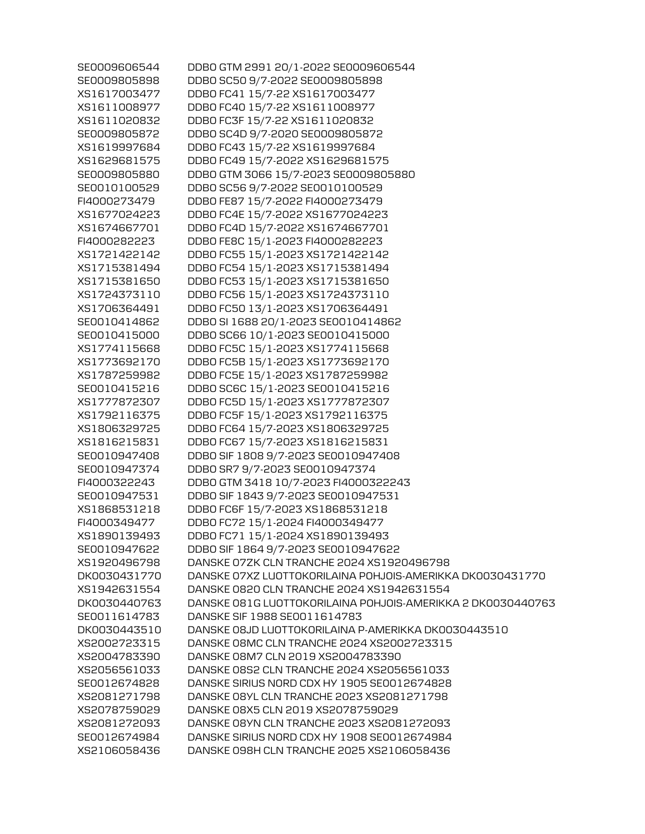| SE0009606544 | DDBO GTM 2991 20/1-2022 SE0009606544                        |
|--------------|-------------------------------------------------------------|
| SE0009805898 | DDB0 SC50 9/7-2022 SE0009805898                             |
| XS1617003477 | DDB0 FC41 15/7-22 XS1617003477                              |
| XS1611008977 | DDB0 FC40 15/7-22 XS1611008977                              |
| XS1611020832 | DDB0 FC3F 15/7-22 XS1611020832                              |
| SE0009805872 | DDB0 SC4D 9/7-2020 SE0009805872                             |
| XS1619997684 | DDB0 FC43 15/7-22 XS1619997684                              |
| XS1629681575 | DDB0 FC49 15/7-2022 XS1629681575                            |
| SE0009805880 | DDB0 GTM 3066 15/7-2023 SE0009805880                        |
| SE0010100529 | DDB0 SC56 9/7-2022 SE0010100529                             |
| FI4000273479 | DDB0 FE87 15/7-2022 FI4000273479                            |
| XS1677024223 | DDB0 FC4E 15/7-2022 XS1677024223                            |
| XS1674667701 | DDB0 FC4D 15/7-2022 XS1674667701                            |
| FI4000282223 | DDB0 FE8C 15/1-2023 FI4000282223                            |
| XS1721422142 | DDB0 FC55 15/1-2023 XS1721422142                            |
| XS1715381494 | DDB0 FC54 15/1-2023 XS1715381494                            |
| XS1715381650 | DDB0 FC53 15/1-2023 XS1715381650                            |
| XS1724373110 | DDB0 FC56 15/1-2023 XS1724373110                            |
| XS1706364491 | DDB0 FC50 13/1-2023 XS1706364491                            |
| SE0010414862 | DDB0 SI 1688 20/1-2023 SE0010414862                         |
| SE0010415000 | DDB0 SC66 10/1-2023 SE0010415000                            |
| XS1774115668 | DDB0 FC5C 15/1-2023 XS1774115668                            |
| XS1773692170 | DDB0 FC5B 15/1-2023 XS1773692170                            |
| XS1787259982 | DDB0 FC5E 15/1-2023 XS1787259982                            |
| SE0010415216 | DDB0 SC6C 15/1-2023 SE0010415216                            |
| XS1777872307 | DDB0 FC5D 15/1-2023 XS1777872307                            |
| XS1792116375 | DDB0 FC5F 15/1-2023 XS1792116375                            |
| XS1806329725 | DDB0 FC64 15/7-2023 XS1806329725                            |
| XS1816215831 | DDB0 FC67 15/7-2023 XS1816215831                            |
| SE0010947408 | DDB0 SIF 1808 9/7-2023 SE0010947408                         |
| SE0010947374 | DDB0 SR7 9/7-2023 SE0010947374                              |
| FI4000322243 | DDB0 GTM 3418 10/7-2023 FI4000322243                        |
| SE0010947531 | DDB0 SIF 1843 9/7-2023 SE0010947531                         |
| XS1868531218 | DDB0 FC6F 15/7-2023 XS1868531218                            |
| FI4000349477 | DDB0 FC72 15/1-2024 FI4000349477                            |
| XS1890139493 | DDB0 FC71 15/1-2024 XS1890139493                            |
| SE0010947622 | DDB0 SIF 1864 9/7-2023 SE0010947622                         |
| XS1920496798 | DANSKE 07ZK CLN TRANCHE 2024 XS1920496798                   |
| DK0030431770 | DANSKE 07XZ LUOTTOKORILAINA POHJOIS-AMERIKKA DK0030431770   |
| XS1942631554 | DANSKE 0820 CLN TRANCHE 2024 XS1942631554                   |
| DK0030440763 | DANSKE 081G LUOTTOKORILAINA POHJOIS-AMERIKKA 2 DK0030440763 |
| SE0011614783 | DANSKE SIF 1988 SE0011614783                                |
| DK0030443510 | DANSKE 08JD LUOTTOKORILAINA P-AMERIKKA DKO030443510         |
| XS2002723315 | DANSKE 08MC CLN TRANCHE 2024 XS2002723315                   |
| XS2004783390 | DANSKE 08M7 CLN 2019 XS2004783390                           |
| XS2056561033 | DANSKE 08S2 CLN TRANCHE 2024 XS2056561033                   |
| SE0012674828 | DANSKE SIRIUS NORD CDX HY 1905 SE0012674828                 |
| XS2081271798 | DANSKE 08YL CLN TRANCHE 2023 XS2081271798                   |
| XS2078759029 | DANSKE 08X5 CLN 2019 XS2078759029                           |
| XS2081272093 | DANSKE 08YN CLN TRANCHE 2023 XS2081272093                   |
| SE0012674984 | DANSKE SIRIUS NORD CDX HY 1908 SE0012674984                 |
| XS2106058436 | DANSKE 098H CLN TRANCHE 2025 XS2106058436                   |